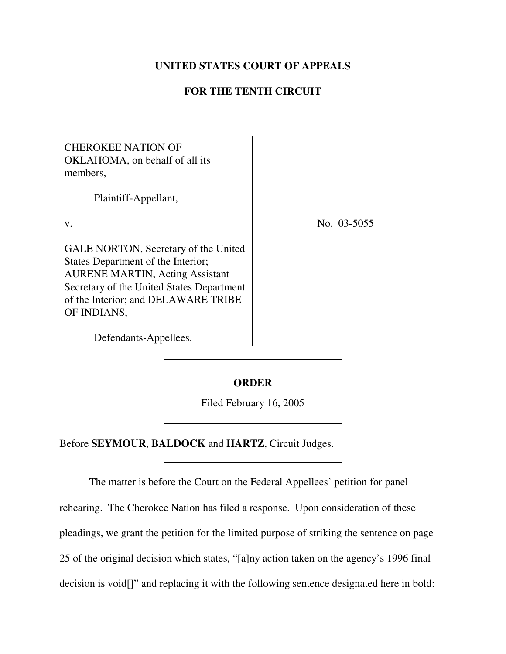# **UNITED STATES COURT OF APPEALS**

# **FOR THE TENTH CIRCUIT**

| <b>CHEROKEE NATION OF</b><br>OKLAHOMA, on behalf of all its<br>members,                                                                                                                                                 |             |
|-------------------------------------------------------------------------------------------------------------------------------------------------------------------------------------------------------------------------|-------------|
| Plaintiff-Appellant,                                                                                                                                                                                                    |             |
| V.                                                                                                                                                                                                                      | No. 03-5055 |
| GALE NORTON, Secretary of the United<br>States Department of the Interior;<br><b>AURENE MARTIN, Acting Assistant</b><br>Secretary of the United States Department<br>of the Interior; and DELAWARE TRIBE<br>OF INDIANS, |             |

Defendants-Appellees.

# **ORDER**

Filed February 16, 2005

Before **SEYMOUR**, **BALDOCK** and **HARTZ**, Circuit Judges.

The matter is before the Court on the Federal Appellees' petition for panel rehearing. The Cherokee Nation has filed a response. Upon consideration of these pleadings, we grant the petition for the limited purpose of striking the sentence on page 25 of the original decision which states, "[a]ny action taken on the agency's 1996 final decision is void[]" and replacing it with the following sentence designated here in bold: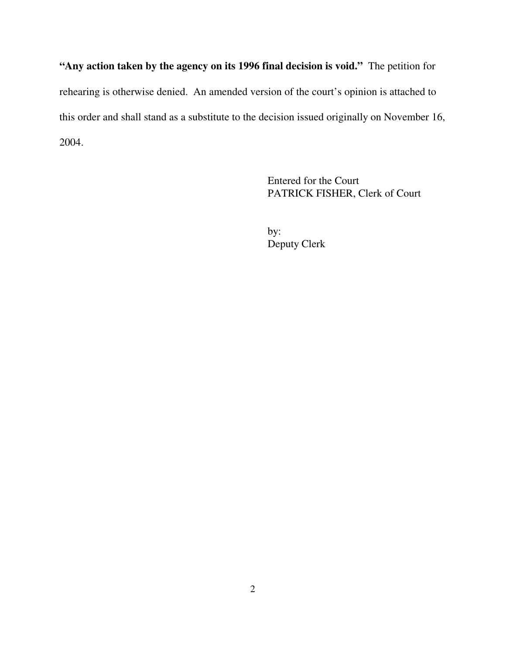**"Any action taken by the agency on its 1996 final decision is void."** The petition for rehearing is otherwise denied. An amended version of the court's opinion is attached to this order and shall stand as a substitute to the decision issued originally on November 16, 2004.

> Entered for the Court PATRICK FISHER, Clerk of Court

by: Deputy Clerk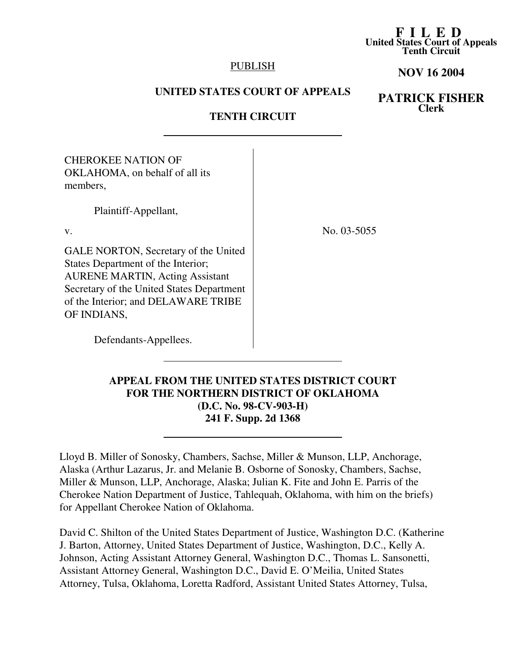#### **F I L E D United States Court of Appeals Tenth Circuit**

### **PUBLISH**

### **NOV 16 2004**

## **UNITED STATES COURT OF APPEALS**

# **PATRICK FISHER Clerk**

## **TENTH CIRCUIT**

| <b>CHEROKEE NATION OF</b><br>OKLAHOMA, on behalf of all its<br>members,                                                                                                                                                        |             |
|--------------------------------------------------------------------------------------------------------------------------------------------------------------------------------------------------------------------------------|-------------|
| Plaintiff-Appellant,                                                                                                                                                                                                           |             |
| V.                                                                                                                                                                                                                             | No. 03-5055 |
| <b>GALE NORTON, Secretary of the United</b><br>States Department of the Interior;<br><b>AURENE MARTIN, Acting Assistant</b><br>Secretary of the United States Department<br>of the Interior; and DELAWARE TRIBE<br>OF INDIANS, |             |
| Defendants-Appellees.                                                                                                                                                                                                          |             |

# **APPEAL FROM THE UNITED STATES DISTRICT COURT FOR THE NORTHERN DISTRICT OF OKLAHOMA (D.C. No. 98-CV-903-H) 241 F. Supp. 2d 1368**

Lloyd B. Miller of Sonosky, Chambers, Sachse, Miller & Munson, LLP, Anchorage, Alaska (Arthur Lazarus, Jr. and Melanie B. Osborne of Sonosky, Chambers, Sachse, Miller & Munson, LLP, Anchorage, Alaska; Julian K. Fite and John E. Parris of the Cherokee Nation Department of Justice, Tahlequah, Oklahoma, with him on the briefs) for Appellant Cherokee Nation of Oklahoma.

David C. Shilton of the United States Department of Justice, Washington D.C. (Katherine J. Barton, Attorney, United States Department of Justice, Washington, D.C., Kelly A. Johnson, Acting Assistant Attorney General, Washington D.C., Thomas L. Sansonetti, Assistant Attorney General, Washington D.C., David E. O'Meilia, United States Attorney, Tulsa, Oklahoma, Loretta Radford, Assistant United States Attorney, Tulsa,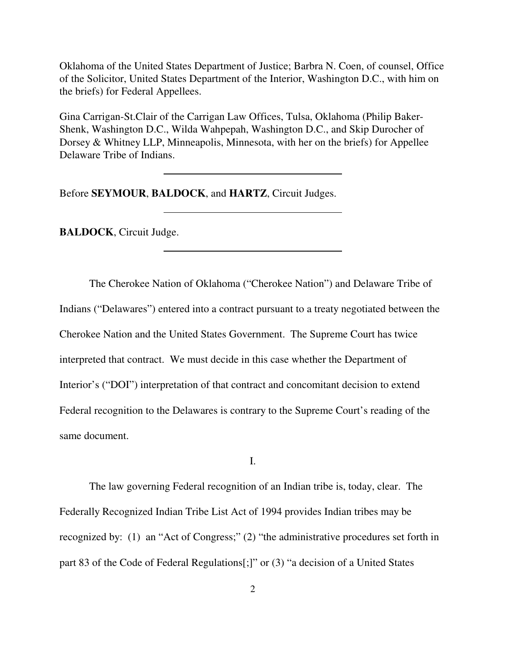Oklahoma of the United States Department of Justice; Barbra N. Coen, of counsel, Office of the Solicitor, United States Department of the Interior, Washington D.C., with him on the briefs) for Federal Appellees.

Gina Carrigan-St.Clair of the Carrigan Law Offices, Tulsa, Oklahoma (Philip Baker-Shenk, Washington D.C., Wilda Wahpepah, Washington D.C., and Skip Durocher of Dorsey & Whitney LLP, Minneapolis, Minnesota, with her on the briefs) for Appellee Delaware Tribe of Indians.

Before **SEYMOUR**, **BALDOCK**, and **HARTZ**, Circuit Judges.

**BALDOCK**, Circuit Judge.

The Cherokee Nation of Oklahoma ("Cherokee Nation") and Delaware Tribe of Indians ("Delawares") entered into a contract pursuant to a treaty negotiated between the Cherokee Nation and the United States Government. The Supreme Court has twice interpreted that contract. We must decide in this case whether the Department of Interior's ("DOI") interpretation of that contract and concomitant decision to extend Federal recognition to the Delawares is contrary to the Supreme Court's reading of the same document.

I.

The law governing Federal recognition of an Indian tribe is, today, clear. The Federally Recognized Indian Tribe List Act of 1994 provides Indian tribes may be recognized by: (1) an "Act of Congress;" (2) "the administrative procedures set forth in part 83 of the Code of Federal Regulations[;]" or (3) "a decision of a United States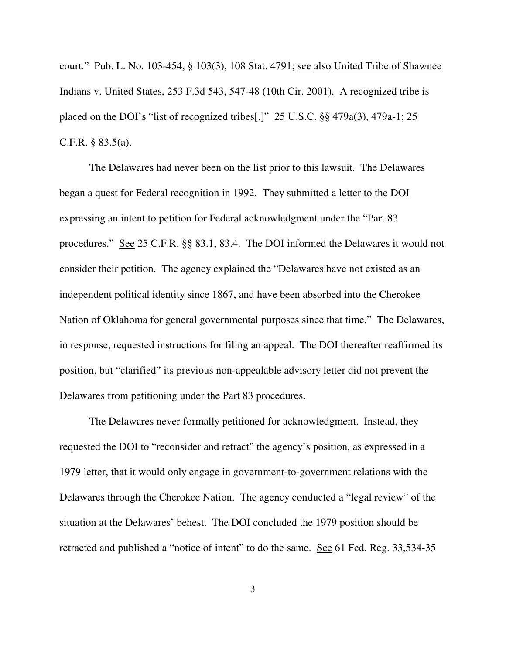court." Pub. L. No. 103-454, § 103(3), 108 Stat. 4791; see also United Tribe of Shawnee Indians v. United States, 253 F.3d 543, 547-48 (10th Cir. 2001). A recognized tribe is placed on the DOI's "list of recognized tribes[.]" 25 U.S.C. §§ 479a(3), 479a-1; 25 C.F.R. § 83.5(a).

The Delawares had never been on the list prior to this lawsuit. The Delawares began a quest for Federal recognition in 1992. They submitted a letter to the DOI expressing an intent to petition for Federal acknowledgment under the "Part 83 procedures." See 25 C.F.R. §§ 83.1, 83.4. The DOI informed the Delawares it would not consider their petition. The agency explained the "Delawares have not existed as an independent political identity since 1867, and have been absorbed into the Cherokee Nation of Oklahoma for general governmental purposes since that time." The Delawares, in response, requested instructions for filing an appeal. The DOI thereafter reaffirmed its position, but "clarified" its previous non-appealable advisory letter did not prevent the Delawares from petitioning under the Part 83 procedures.

The Delawares never formally petitioned for acknowledgment. Instead, they requested the DOI to "reconsider and retract" the agency's position, as expressed in a 1979 letter, that it would only engage in government-to-government relations with the Delawares through the Cherokee Nation. The agency conducted a "legal review" of the situation at the Delawares' behest. The DOI concluded the 1979 position should be retracted and published a "notice of intent" to do the same. <u>See</u> 61 Fed. Reg. 33,534-35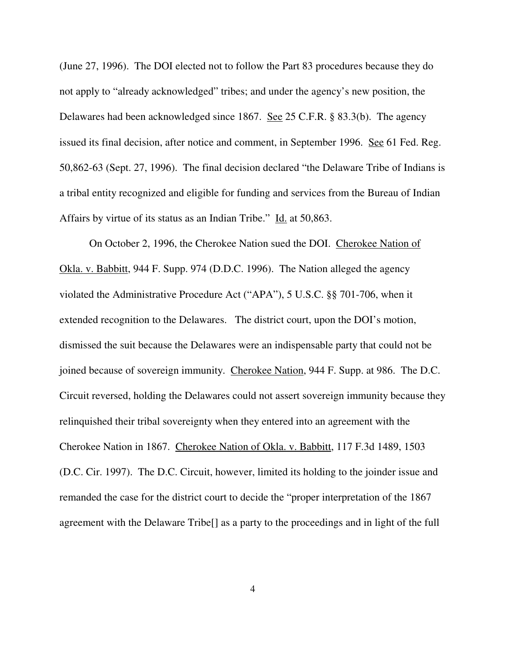(June 27, 1996). The DOI elected not to follow the Part 83 procedures because they do not apply to "already acknowledged" tribes; and under the agency's new position, the Delawares had been acknowledged since 1867. See 25 C.F.R. § 83.3(b). The agency issued its final decision, after notice and comment, in September 1996. See 61 Fed. Reg. 50,862-63 (Sept. 27, 1996). The final decision declared "the Delaware Tribe of Indians is a tribal entity recognized and eligible for funding and services from the Bureau of Indian Affairs by virtue of its status as an Indian Tribe." Id. at 50,863.

On October 2, 1996, the Cherokee Nation sued the DOI. Cherokee Nation of Okla. v. Babbitt, 944 F. Supp. 974 (D.D.C. 1996). The Nation alleged the agency violated the Administrative Procedure Act ("APA"), 5 U.S.C. §§ 701-706, when it extended recognition to the Delawares. The district court, upon the DOI's motion, dismissed the suit because the Delawares were an indispensable party that could not be joined because of sovereign immunity. Cherokee Nation, 944 F. Supp. at 986. The D.C. Circuit reversed, holding the Delawares could not assert sovereign immunity because they relinquished their tribal sovereignty when they entered into an agreement with the Cherokee Nation in 1867. Cherokee Nation of Okla. v. Babbitt, 117 F.3d 1489, 1503 (D.C. Cir. 1997). The D.C. Circuit, however, limited its holding to the joinder issue and remanded the case for the district court to decide the "proper interpretation of the 1867 agreement with the Delaware Tribe[] as a party to the proceedings and in light of the full

4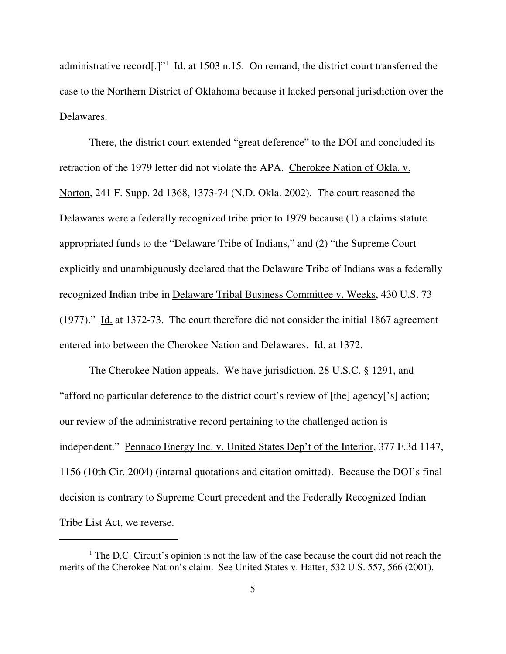administrative record[.]"<sup>1</sup> Id. at 1503 n.15. On remand, the district court transferred the case to the Northern District of Oklahoma because it lacked personal jurisdiction over the Delawares.

There, the district court extended "great deference" to the DOI and concluded its retraction of the 1979 letter did not violate the APA. Cherokee Nation of Okla. v. Norton, 241 F. Supp. 2d 1368, 1373-74 (N.D. Okla. 2002). The court reasoned the Delawares were a federally recognized tribe prior to 1979 because (1) a claims statute appropriated funds to the "Delaware Tribe of Indians," and (2) "the Supreme Court explicitly and unambiguously declared that the Delaware Tribe of Indians was a federally recognized Indian tribe in Delaware Tribal Business Committee v. Weeks, 430 U.S. 73 (1977)." Id. at 1372-73. The court therefore did not consider the initial 1867 agreement entered into between the Cherokee Nation and Delawares. Id. at 1372.

The Cherokee Nation appeals. We have jurisdiction, 28 U.S.C. § 1291, and "afford no particular deference to the district court's review of [the] agency['s] action; our review of the administrative record pertaining to the challenged action is independent." Pennaco Energy Inc. v. United States Dep't of the Interior, 377 F.3d 1147, 1156 (10th Cir. 2004) (internal quotations and citation omitted). Because the DOI's final decision is contrary to Supreme Court precedent and the Federally Recognized Indian Tribe List Act, we reverse.

 $<sup>1</sup>$  The D.C. Circuit's opinion is not the law of the case because the court did not reach the</sup> merits of the Cherokee Nation's claim. See United States v. Hatter, 532 U.S. 557, 566 (2001).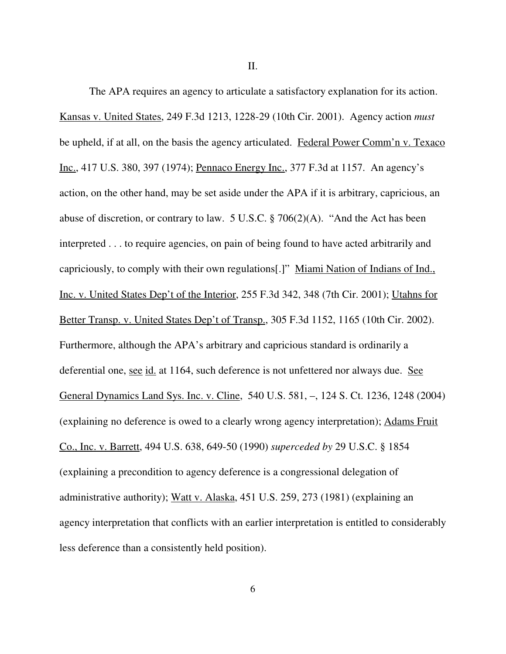II.

The APA requires an agency to articulate a satisfactory explanation for its action. Kansas v. United States, 249 F.3d 1213, 1228-29 (10th Cir. 2001). Agency action *must* be upheld, if at all, on the basis the agency articulated. Federal Power Comm'n v. Texaco Inc., 417 U.S. 380, 397 (1974); Pennaco Energy Inc., 377 F.3d at 1157. An agency's action, on the other hand, may be set aside under the APA if it is arbitrary, capricious, an abuse of discretion, or contrary to law. 5 U.S.C. § 706(2)(A). "And the Act has been interpreted . . . to require agencies, on pain of being found to have acted arbitrarily and capriciously, to comply with their own regulations[.]" Miami Nation of Indians of Ind., Inc. v. United States Dep't of the Interior, 255 F.3d 342, 348 (7th Cir. 2001); Utahns for Better Transp. v. United States Dep't of Transp., 305 F.3d 1152, 1165 (10th Cir. 2002). Furthermore, although the APA's arbitrary and capricious standard is ordinarily a deferential one, see id. at 1164, such deference is not unfettered nor always due. See General Dynamics Land Sys. Inc. v. Cline, 540 U.S. 581, –, 124 S. Ct. 1236, 1248 (2004) (explaining no deference is owed to a clearly wrong agency interpretation); Adams Fruit Co., Inc. v. Barrett, 494 U.S. 638, 649-50 (1990) *superceded by* 29 U.S.C. § 1854 (explaining a precondition to agency deference is a congressional delegation of administrative authority); Watt v. Alaska, 451 U.S. 259, 273 (1981) (explaining an agency interpretation that conflicts with an earlier interpretation is entitled to considerably less deference than a consistently held position).

6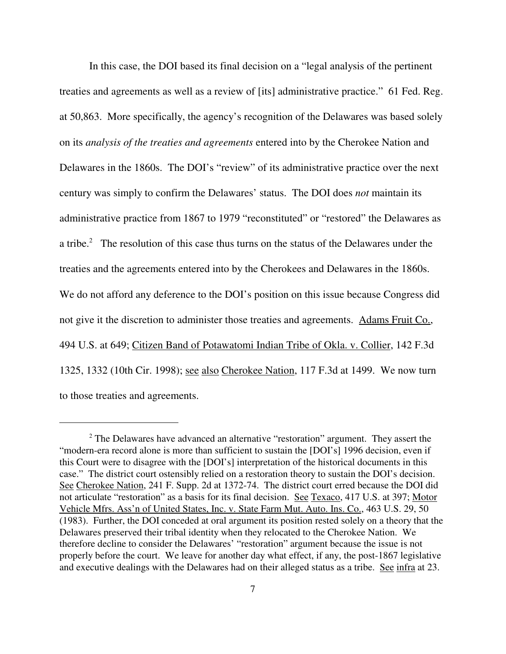In this case, the DOI based its final decision on a "legal analysis of the pertinent treaties and agreements as well as a review of [its] administrative practice." 61 Fed. Reg. at 50,863. More specifically, the agency's recognition of the Delawares was based solely on its *analysis of the treaties and agreements* entered into by the Cherokee Nation and Delawares in the 1860s. The DOI's "review" of its administrative practice over the next century was simply to confirm the Delawares' status. The DOI does *not* maintain its administrative practice from 1867 to 1979 "reconstituted" or "restored" the Delawares as a tribe.<sup>2</sup> The resolution of this case thus turns on the status of the Delawares under the treaties and the agreements entered into by the Cherokees and Delawares in the 1860s. We do not afford any deference to the DOI's position on this issue because Congress did not give it the discretion to administer those treaties and agreements. Adams Fruit Co., 494 U.S. at 649; Citizen Band of Potawatomi Indian Tribe of Okla. v. Collier, 142 F.3d 1325, 1332 (10th Cir. 1998); see also Cherokee Nation, 117 F.3d at 1499. We now turn to those treaties and agreements.

<sup>&</sup>lt;sup>2</sup> The Delawares have advanced an alternative "restoration" argument. They assert the "modern-era record alone is more than sufficient to sustain the [DOI's] 1996 decision, even if this Court were to disagree with the [DOI's] interpretation of the historical documents in this case." The district court ostensibly relied on a restoration theory to sustain the DOI's decision. See Cherokee Nation, 241 F. Supp. 2d at 1372-74. The district court erred because the DOI did not articulate "restoration" as a basis for its final decision. See Texaco, 417 U.S. at 397; Motor Vehicle Mfrs. Ass'n of United States, Inc. v. State Farm Mut. Auto. Ins. Co., 463 U.S. 29, 50 (1983). Further, the DOI conceded at oral argument its position rested solely on a theory that the Delawares preserved their tribal identity when they relocated to the Cherokee Nation. We therefore decline to consider the Delawares' "restoration" argument because the issue is not properly before the court. We leave for another day what effect, if any, the post-1867 legislative and executive dealings with the Delawares had on their alleged status as a tribe. See infra at 23.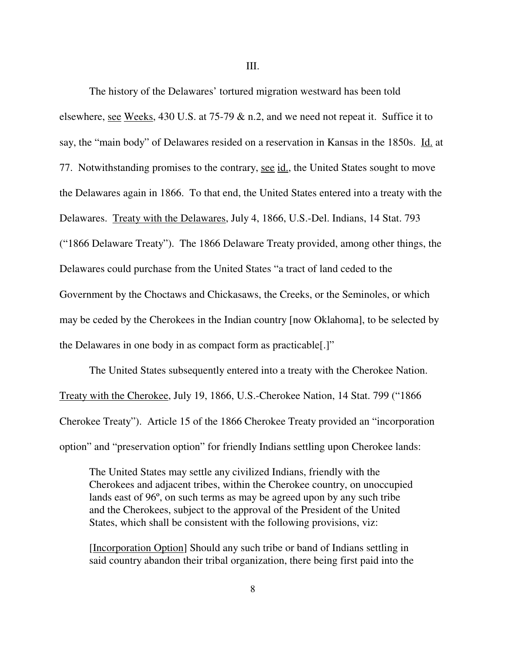III.

The history of the Delawares' tortured migration westward has been told elsewhere, see Weeks, 430 U.S. at 75-79 & n.2, and we need not repeat it. Suffice it to say, the "main body" of Delawares resided on a reservation in Kansas in the 1850s. Id. at 77. Notwithstanding promises to the contrary, see id., the United States sought to move the Delawares again in 1866. To that end, the United States entered into a treaty with the Delawares. Treaty with the Delawares, July 4, 1866, U.S.-Del. Indians, 14 Stat. 793 ("1866 Delaware Treaty"). The 1866 Delaware Treaty provided, among other things, the Delawares could purchase from the United States "a tract of land ceded to the Government by the Choctaws and Chickasaws, the Creeks, or the Seminoles, or which may be ceded by the Cherokees in the Indian country [now Oklahoma], to be selected by the Delawares in one body in as compact form as practicable[.]"

The United States subsequently entered into a treaty with the Cherokee Nation. Treaty with the Cherokee, July 19, 1866, U.S.-Cherokee Nation, 14 Stat. 799 ("1866 Cherokee Treaty"). Article 15 of the 1866 Cherokee Treaty provided an "incorporation option" and "preservation option" for friendly Indians settling upon Cherokee lands:

The United States may settle any civilized Indians, friendly with the Cherokees and adjacent tribes, within the Cherokee country, on unoccupied lands east of 96º, on such terms as may be agreed upon by any such tribe and the Cherokees, subject to the approval of the President of the United States, which shall be consistent with the following provisions, viz:

[Incorporation Option] Should any such tribe or band of Indians settling in said country abandon their tribal organization, there being first paid into the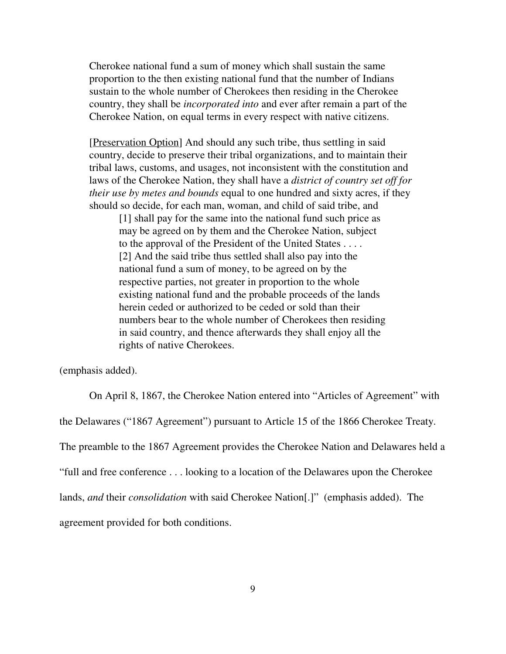Cherokee national fund a sum of money which shall sustain the same proportion to the then existing national fund that the number of Indians sustain to the whole number of Cherokees then residing in the Cherokee country, they shall be *incorporated into* and ever after remain a part of the Cherokee Nation, on equal terms in every respect with native citizens.

[Preservation Option] And should any such tribe, thus settling in said country, decide to preserve their tribal organizations, and to maintain their tribal laws, customs, and usages, not inconsistent with the constitution and laws of the Cherokee Nation, they shall have a *district of country set off for their use by metes and bounds* equal to one hundred and sixty acres, if they should so decide, for each man, woman, and child of said tribe, and

[1] shall pay for the same into the national fund such price as may be agreed on by them and the Cherokee Nation, subject to the approval of the President of the United States . . . . [2] And the said tribe thus settled shall also pay into the national fund a sum of money, to be agreed on by the respective parties, not greater in proportion to the whole existing national fund and the probable proceeds of the lands herein ceded or authorized to be ceded or sold than their numbers bear to the whole number of Cherokees then residing in said country, and thence afterwards they shall enjoy all the rights of native Cherokees.

(emphasis added).

On April 8, 1867, the Cherokee Nation entered into "Articles of Agreement" with

the Delawares ("1867 Agreement") pursuant to Article 15 of the 1866 Cherokee Treaty.

The preamble to the 1867 Agreement provides the Cherokee Nation and Delawares held a

"full and free conference . . . looking to a location of the Delawares upon the Cherokee

lands, *and* their *consolidation* with said Cherokee Nation[.]" (emphasis added). The

agreement provided for both conditions.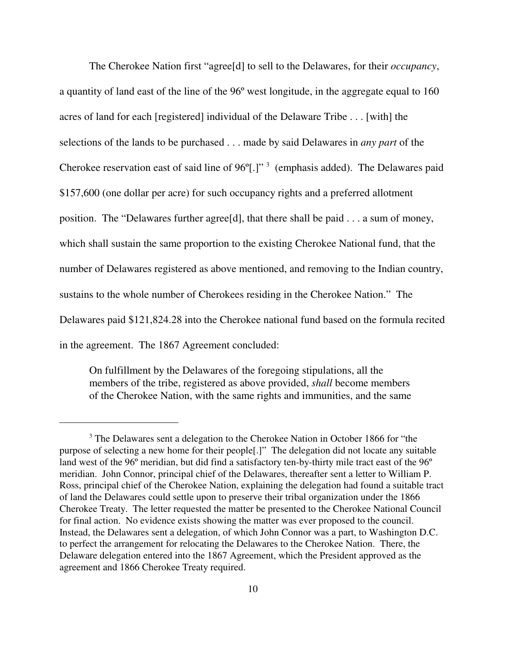The Cherokee Nation first "agree[d] to sell to the Delawares, for their *occupancy*, a quantity of land east of the line of the 96º west longitude, in the aggregate equal to 160 acres of land for each [registered] individual of the Delaware Tribe . . . [with] the selections of the lands to be purchased . . . made by said Delawares in *any part* of the Cherokee reservation east of said line of  $96^{\circ}$ [.]"<sup>3</sup> (emphasis added). The Delawares paid \$157,600 (one dollar per acre) for such occupancy rights and a preferred allotment position. The "Delawares further agree[d], that there shall be paid . . . a sum of money, which shall sustain the same proportion to the existing Cherokee National fund, that the number of Delawares registered as above mentioned, and removing to the Indian country, sustains to the whole number of Cherokees residing in the Cherokee Nation." The Delawares paid \$121,824.28 into the Cherokee national fund based on the formula recited in the agreement. The 1867 Agreement concluded:

On fulfillment by the Delawares of the foregoing stipulations, all the members of the tribe, registered as above provided, *shall* become members of the Cherokee Nation, with the same rights and immunities, and the same

<sup>&</sup>lt;sup>3</sup> The Delawares sent a delegation to the Cherokee Nation in October 1866 for "the purpose of selecting a new home for their people[.]" The delegation did not locate any suitable land west of the 96º meridian, but did find a satisfactory ten-by-thirty mile tract east of the 96º meridian. John Connor, principal chief of the Delawares, thereafter sent a letter to William P. Ross, principal chief of the Cherokee Nation, explaining the delegation had found a suitable tract of land the Delawares could settle upon to preserve their tribal organization under the 1866 Cherokee Treaty. The letter requested the matter be presented to the Cherokee National Council for final action. No evidence exists showing the matter was ever proposed to the council. Instead, the Delawares sent a delegation, of which John Connor was a part, to Washington D.C. to perfect the arrangement for relocating the Delawares to the Cherokee Nation. There, the Delaware delegation entered into the 1867 Agreement, which the President approved as the agreement and 1866 Cherokee Treaty required.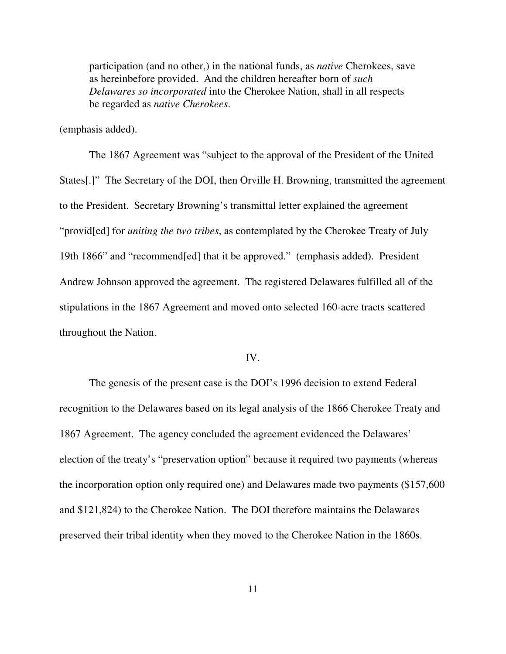participation (and no other,) in the national funds, as *native* Cherokees, save as hereinbefore provided. And the children hereafter born of *such Delawares so incorporated* into the Cherokee Nation, shall in all respects be regarded as *native Cherokees*.

(emphasis added).

The 1867 Agreement was "subject to the approval of the President of the United States[.]" The Secretary of the DOI, then Orville H. Browning, transmitted the agreement to the President. Secretary Browning's transmittal letter explained the agreement "provid[ed] for *uniting the two tribes*, as contemplated by the Cherokee Treaty of July 19th 1866" and "recommend[ed] that it be approved." (emphasis added). President Andrew Johnson approved the agreement. The registered Delawares fulfilled all of the stipulations in the 1867 Agreement and moved onto selected 160-acre tracts scattered throughout the Nation.

#### IV.

The genesis of the present case is the DOI's 1996 decision to extend Federal recognition to the Delawares based on its legal analysis of the 1866 Cherokee Treaty and 1867 Agreement. The agency concluded the agreement evidenced the Delawares' election of the treaty's "preservation option" because it required two payments (whereas the incorporation option only required one) and Delawares made two payments (\$157,600 and \$121,824) to the Cherokee Nation. The DOI therefore maintains the Delawares preserved their tribal identity when they moved to the Cherokee Nation in the 1860s.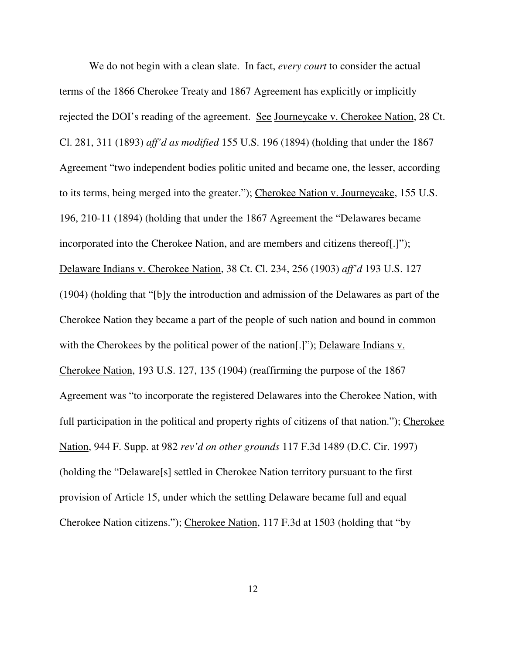We do not begin with a clean slate. In fact, *every court* to consider the actual terms of the 1866 Cherokee Treaty and 1867 Agreement has explicitly or implicitly rejected the DOI's reading of the agreement. See Journeycake v. Cherokee Nation, 28 Ct. Cl. 281, 311 (1893) *aff'd as modified* 155 U.S. 196 (1894) (holding that under the 1867 Agreement "two independent bodies politic united and became one, the lesser, according to its terms, being merged into the greater."); Cherokee Nation v. Journeycake, 155 U.S. 196, 210-11 (1894) (holding that under the 1867 Agreement the "Delawares became incorporated into the Cherokee Nation, and are members and citizens thereof[.]"); Delaware Indians v. Cherokee Nation, 38 Ct. Cl. 234, 256 (1903) *aff'd* 193 U.S. 127 (1904) (holding that "[b]y the introduction and admission of the Delawares as part of the Cherokee Nation they became a part of the people of such nation and bound in common with the Cherokees by the political power of the nation..."); Delaware Indians v. Cherokee Nation, 193 U.S. 127, 135 (1904) (reaffirming the purpose of the 1867 Agreement was "to incorporate the registered Delawares into the Cherokee Nation, with full participation in the political and property rights of citizens of that nation."); Cherokee Nation, 944 F. Supp. at 982 *rev'd on other grounds* 117 F.3d 1489 (D.C. Cir. 1997) (holding the "Delaware[s] settled in Cherokee Nation territory pursuant to the first provision of Article 15, under which the settling Delaware became full and equal Cherokee Nation citizens."); Cherokee Nation, 117 F.3d at 1503 (holding that "by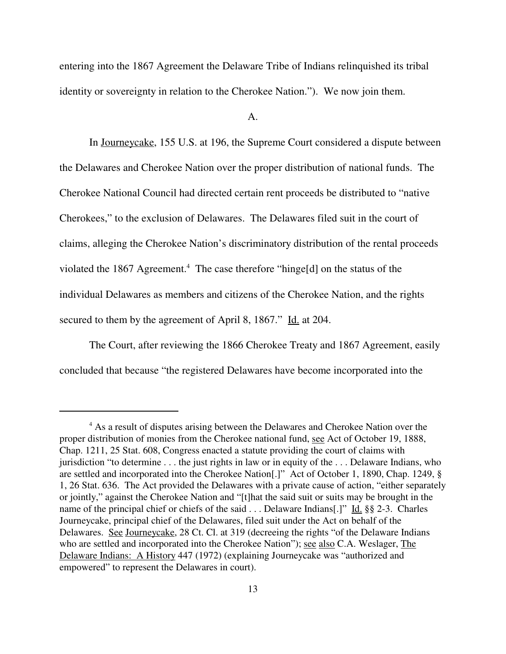entering into the 1867 Agreement the Delaware Tribe of Indians relinquished its tribal identity or sovereignty in relation to the Cherokee Nation."). We now join them.

A.

In Journeycake, 155 U.S. at 196, the Supreme Court considered a dispute between the Delawares and Cherokee Nation over the proper distribution of national funds. The Cherokee National Council had directed certain rent proceeds be distributed to "native Cherokees," to the exclusion of Delawares. The Delawares filed suit in the court of claims, alleging the Cherokee Nation's discriminatory distribution of the rental proceeds violated the 1867 Agreement.<sup>4</sup> The case therefore "hinge[d] on the status of the individual Delawares as members and citizens of the Cherokee Nation, and the rights secured to them by the agreement of April 8, 1867." Id. at 204.

The Court, after reviewing the 1866 Cherokee Treaty and 1867 Agreement, easily concluded that because "the registered Delawares have become incorporated into the

<sup>&</sup>lt;sup>4</sup> As a result of disputes arising between the Delawares and Cherokee Nation over the proper distribution of monies from the Cherokee national fund, see Act of October 19, 1888, Chap. 1211, 25 Stat. 608, Congress enacted a statute providing the court of claims with jurisdiction "to determine . . . the just rights in law or in equity of the . . . Delaware Indians, who are settled and incorporated into the Cherokee Nation[.]" Act of October 1, 1890, Chap. 1249, § 1, 26 Stat. 636. The Act provided the Delawares with a private cause of action, "either separately or jointly," against the Cherokee Nation and "[t]hat the said suit or suits may be brought in the name of the principal chief or chiefs of the said . . . Delaware Indians[.]" Id. §§ 2-3. Charles Journeycake, principal chief of the Delawares, filed suit under the Act on behalf of the Delawares. See Journeycake, 28 Ct. Cl. at 319 (decreeing the rights "of the Delaware Indians who are settled and incorporated into the Cherokee Nation"); see also C.A. Weslager, The Delaware Indians: A History 447 (1972) (explaining Journeycake was "authorized and empowered" to represent the Delawares in court).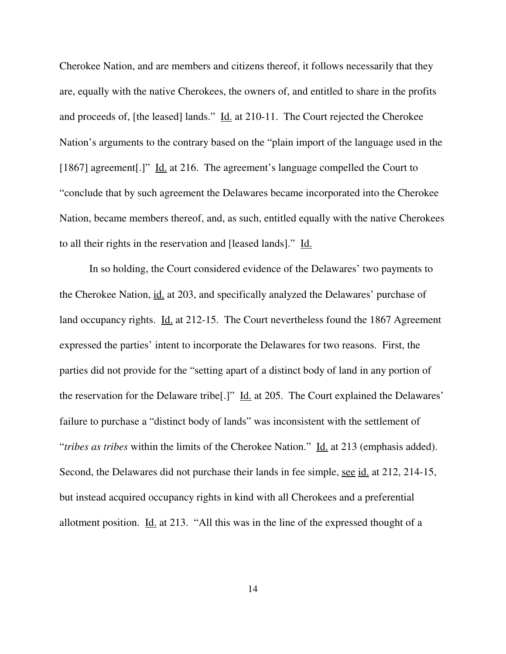Cherokee Nation, and are members and citizens thereof, it follows necessarily that they are, equally with the native Cherokees, the owners of, and entitled to share in the profits and proceeds of, [the leased] lands." Id. at 210-11. The Court rejected the Cherokee Nation's arguments to the contrary based on the "plain import of the language used in the [1867] agreement[.]" Id. at 216. The agreement's language compelled the Court to "conclude that by such agreement the Delawares became incorporated into the Cherokee Nation, became members thereof, and, as such, entitled equally with the native Cherokees to all their rights in the reservation and [leased lands]." Id.

In so holding, the Court considered evidence of the Delawares' two payments to the Cherokee Nation, id. at 203, and specifically analyzed the Delawares' purchase of land occupancy rights. Id. at 212-15. The Court nevertheless found the 1867 Agreement expressed the parties' intent to incorporate the Delawares for two reasons. First, the parties did not provide for the "setting apart of a distinct body of land in any portion of the reservation for the Delaware tribe<sup>[.]"</sup> Id. at 205. The Court explained the Delawares' failure to purchase a "distinct body of lands" was inconsistent with the settlement of "*tribes as tribes* within the limits of the Cherokee Nation." Id. at 213 (emphasis added). Second, the Delawares did not purchase their lands in fee simple, <u>see id.</u> at 212, 214-15, but instead acquired occupancy rights in kind with all Cherokees and a preferential allotment position. Id. at 213. "All this was in the line of the expressed thought of a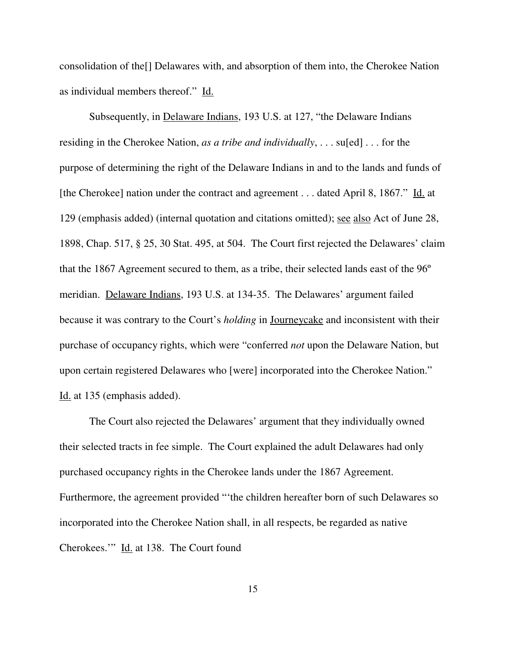consolidation of the[] Delawares with, and absorption of them into, the Cherokee Nation as individual members thereof." Id.

Subsequently, in Delaware Indians, 193 U.S. at 127, "the Delaware Indians residing in the Cherokee Nation, *as a tribe and individually*, . . . su[ed] . . . for the purpose of determining the right of the Delaware Indians in and to the lands and funds of [the Cherokee] nation under the contract and agreement . . . dated April 8, 1867." Id. at 129 (emphasis added) (internal quotation and citations omitted); see also Act of June 28, 1898, Chap. 517, § 25, 30 Stat. 495, at 504. The Court first rejected the Delawares' claim that the 1867 Agreement secured to them, as a tribe, their selected lands east of the 96º meridian. Delaware Indians, 193 U.S. at 134-35. The Delawares' argument failed because it was contrary to the Court's *holding* in Journeycake and inconsistent with their purchase of occupancy rights, which were "conferred *not* upon the Delaware Nation, but upon certain registered Delawares who [were] incorporated into the Cherokee Nation." Id. at 135 (emphasis added).

The Court also rejected the Delawares' argument that they individually owned their selected tracts in fee simple. The Court explained the adult Delawares had only purchased occupancy rights in the Cherokee lands under the 1867 Agreement. Furthermore, the agreement provided "'the children hereafter born of such Delawares so incorporated into the Cherokee Nation shall, in all respects, be regarded as native Cherokees.'" Id. at 138. The Court found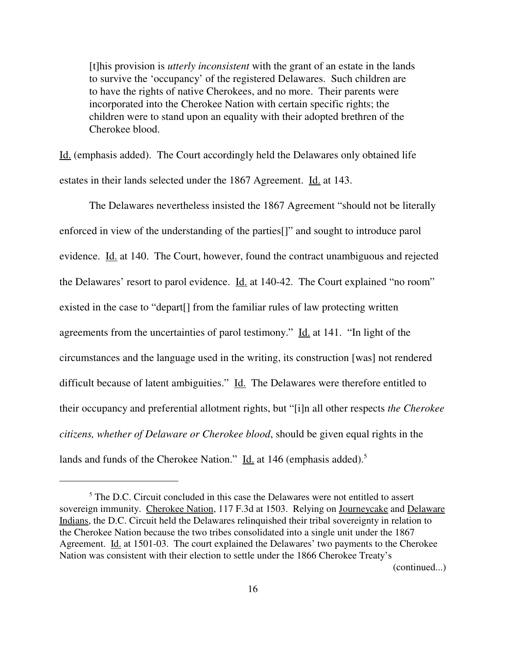[t]his provision is *utterly inconsistent* with the grant of an estate in the lands to survive the 'occupancy' of the registered Delawares. Such children are to have the rights of native Cherokees, and no more. Their parents were incorporated into the Cherokee Nation with certain specific rights; the children were to stand upon an equality with their adopted brethren of the Cherokee blood.

Id. (emphasis added). The Court accordingly held the Delawares only obtained life estates in their lands selected under the 1867 Agreement. Id. at 143.

The Delawares nevertheless insisted the 1867 Agreement "should not be literally enforced in view of the understanding of the parties[]" and sought to introduce parol evidence. Id. at 140. The Court, however, found the contract unambiguous and rejected the Delawares' resort to parol evidence. Id. at 140-42. The Court explained "no room" existed in the case to "depart[] from the familiar rules of law protecting written agreements from the uncertainties of parol testimony." Id. at 141. "In light of the circumstances and the language used in the writing, its construction [was] not rendered difficult because of latent ambiguities." Id. The Delawares were therefore entitled to their occupancy and preferential allotment rights, but "[i]n all other respects *the Cherokee citizens, whether of Delaware or Cherokee blood*, should be given equal rights in the lands and funds of the Cherokee Nation." Id. at 146 (emphasis added).<sup>5</sup>

(continued...)

<sup>&</sup>lt;sup>5</sup> The D.C. Circuit concluded in this case the Delawares were not entitled to assert sovereign immunity. Cherokee Nation, 117 F.3d at 1503. Relying on Journeycake and Delaware Indians, the D.C. Circuit held the Delawares relinquished their tribal sovereignty in relation to the Cherokee Nation because the two tribes consolidated into a single unit under the 1867 Agreement. Id. at 1501-03. The court explained the Delawares' two payments to the Cherokee Nation was consistent with their election to settle under the 1866 Cherokee Treaty's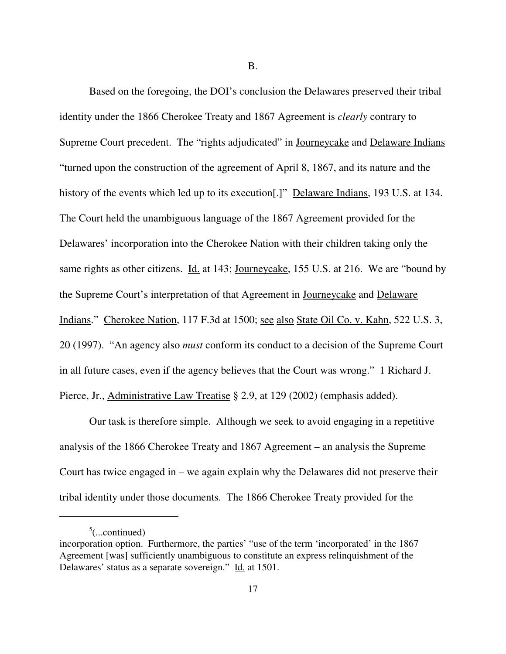B.

Based on the foregoing, the DOI's conclusion the Delawares preserved their tribal identity under the 1866 Cherokee Treaty and 1867 Agreement is *clearly* contrary to Supreme Court precedent. The "rights adjudicated" in Journeycake and Delaware Indians "turned upon the construction of the agreement of April 8, 1867, and its nature and the history of the events which led up to its execution[.]" Delaware Indians, 193 U.S. at 134. The Court held the unambiguous language of the 1867 Agreement provided for the Delawares' incorporation into the Cherokee Nation with their children taking only the same rights as other citizens. Id. at 143; Journeycake, 155 U.S. at 216. We are "bound by the Supreme Court's interpretation of that Agreement in Journeycake and Delaware Indians." Cherokee Nation, 117 F.3d at 1500; see also State Oil Co. v. Kahn, 522 U.S. 3, 20 (1997). "An agency also *must* conform its conduct to a decision of the Supreme Court in all future cases, even if the agency believes that the Court was wrong." 1 Richard J. Pierce, Jr., Administrative Law Treatise § 2.9, at 129 (2002) (emphasis added).

Our task is therefore simple. Although we seek to avoid engaging in a repetitive analysis of the 1866 Cherokee Treaty and 1867 Agreement – an analysis the Supreme Court has twice engaged in – we again explain why the Delawares did not preserve their tribal identity under those documents. The 1866 Cherokee Treaty provided for the

 $5$ (...continued)

incorporation option. Furthermore, the parties' "use of the term 'incorporated' in the 1867 Agreement [was] sufficiently unambiguous to constitute an express relinquishment of the Delawares' status as a separate sovereign." Id. at 1501.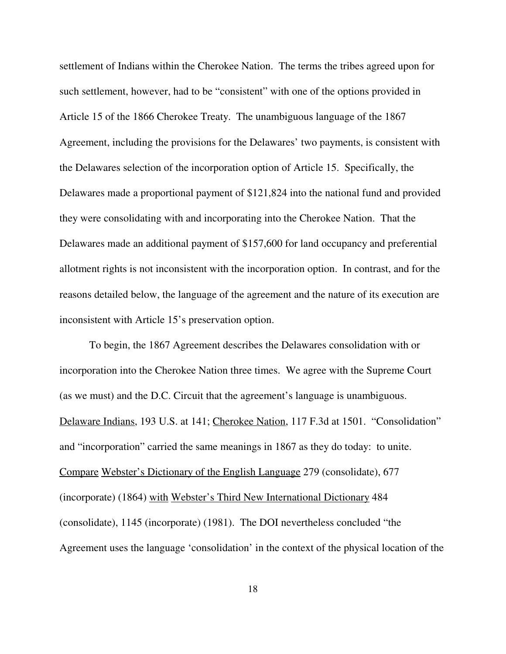settlement of Indians within the Cherokee Nation. The terms the tribes agreed upon for such settlement, however, had to be "consistent" with one of the options provided in Article 15 of the 1866 Cherokee Treaty. The unambiguous language of the 1867 Agreement, including the provisions for the Delawares' two payments, is consistent with the Delawares selection of the incorporation option of Article 15. Specifically, the Delawares made a proportional payment of \$121,824 into the national fund and provided they were consolidating with and incorporating into the Cherokee Nation. That the Delawares made an additional payment of \$157,600 for land occupancy and preferential allotment rights is not inconsistent with the incorporation option. In contrast, and for the reasons detailed below, the language of the agreement and the nature of its execution are inconsistent with Article 15's preservation option.

To begin, the 1867 Agreement describes the Delawares consolidation with or incorporation into the Cherokee Nation three times. We agree with the Supreme Court (as we must) and the D.C. Circuit that the agreement's language is unambiguous. Delaware Indians, 193 U.S. at 141; Cherokee Nation, 117 F.3d at 1501. "Consolidation" and "incorporation" carried the same meanings in 1867 as they do today: to unite. Compare Webster's Dictionary of the English Language 279 (consolidate), 677 (incorporate) (1864) with Webster's Third New International Dictionary 484 (consolidate), 1145 (incorporate) (1981). The DOI nevertheless concluded "the Agreement uses the language 'consolidation' in the context of the physical location of the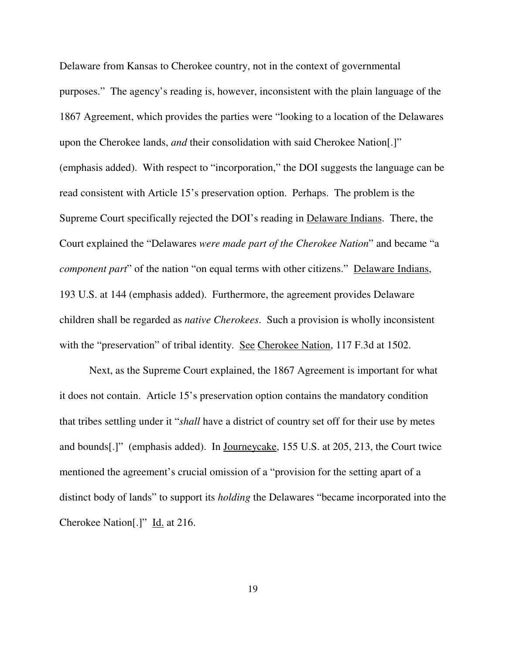Delaware from Kansas to Cherokee country, not in the context of governmental purposes." The agency's reading is, however, inconsistent with the plain language of the 1867 Agreement, which provides the parties were "looking to a location of the Delawares upon the Cherokee lands, *and* their consolidation with said Cherokee Nation[.]" (emphasis added). With respect to "incorporation," the DOI suggests the language can be read consistent with Article 15's preservation option. Perhaps. The problem is the Supreme Court specifically rejected the DOI's reading in Delaware Indians. There, the Court explained the "Delawares *were made part of the Cherokee Nation*" and became "a *component part*" of the nation "on equal terms with other citizens." <u>Delaware Indians</u>, 193 U.S. at 144 (emphasis added). Furthermore, the agreement provides Delaware children shall be regarded as *native Cherokees*. Such a provision is wholly inconsistent with the "preservation" of tribal identity. See Cherokee Nation, 117 F.3d at 1502.

Next, as the Supreme Court explained, the 1867 Agreement is important for what it does not contain. Article 15's preservation option contains the mandatory condition that tribes settling under it "*shall* have a district of country set off for their use by metes and bounds[.]" (emphasis added). In Journeycake, 155 U.S. at 205, 213, the Court twice mentioned the agreement's crucial omission of a "provision for the setting apart of a distinct body of lands" to support its *holding* the Delawares "became incorporated into the Cherokee Nation[.]" Id. at 216.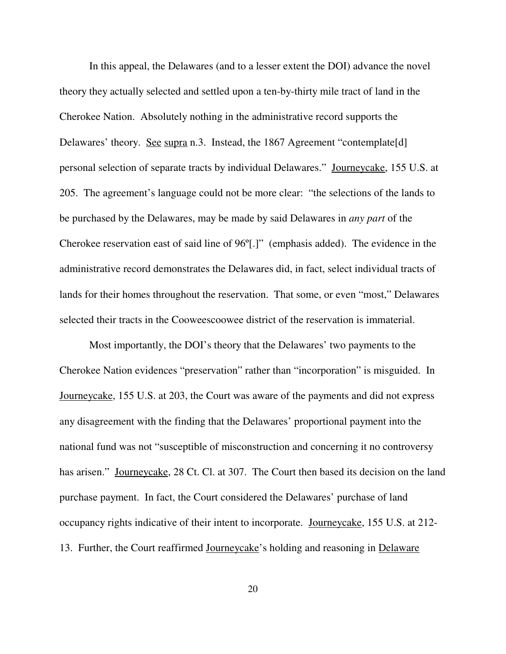In this appeal, the Delawares (and to a lesser extent the DOI) advance the novel theory they actually selected and settled upon a ten-by-thirty mile tract of land in the Cherokee Nation. Absolutely nothing in the administrative record supports the Delawares' theory. See supra n.3. Instead, the 1867 Agreement "contemplate[d] personal selection of separate tracts by individual Delawares." Journeycake, 155 U.S. at 205. The agreement's language could not be more clear: "the selections of the lands to be purchased by the Delawares, may be made by said Delawares in *any part* of the Cherokee reservation east of said line of 96º[.]" (emphasis added). The evidence in the administrative record demonstrates the Delawares did, in fact, select individual tracts of lands for their homes throughout the reservation. That some, or even "most," Delawares selected their tracts in the Cooweescoowee district of the reservation is immaterial.

Most importantly, the DOI's theory that the Delawares' two payments to the Cherokee Nation evidences "preservation" rather than "incorporation" is misguided. In Journeycake, 155 U.S. at 203, the Court was aware of the payments and did not express any disagreement with the finding that the Delawares' proportional payment into the national fund was not "susceptible of misconstruction and concerning it no controversy has arisen." Journeycake, 28 Ct. Cl. at 307. The Court then based its decision on the land purchase payment. In fact, the Court considered the Delawares' purchase of land occupancy rights indicative of their intent to incorporate. Journeycake, 155 U.S. at 212- 13. Further, the Court reaffirmed Journeycake's holding and reasoning in Delaware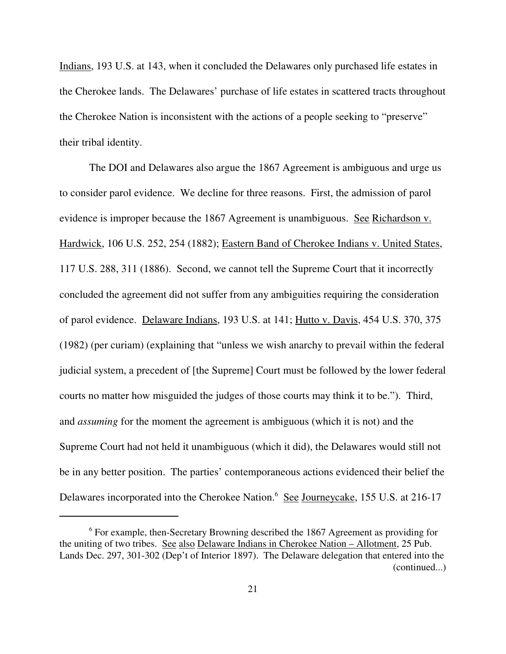Indians, 193 U.S. at 143, when it concluded the Delawares only purchased life estates in the Cherokee lands. The Delawares' purchase of life estates in scattered tracts throughout the Cherokee Nation is inconsistent with the actions of a people seeking to "preserve" their tribal identity.

The DOI and Delawares also argue the 1867 Agreement is ambiguous and urge us to consider parol evidence. We decline for three reasons. First, the admission of parol evidence is improper because the 1867 Agreement is unambiguous. See Richardson v. Hardwick, 106 U.S. 252, 254 (1882); Eastern Band of Cherokee Indians v. United States, 117 U.S. 288, 311 (1886). Second, we cannot tell the Supreme Court that it incorrectly concluded the agreement did not suffer from any ambiguities requiring the consideration of parol evidence. Delaware Indians, 193 U.S. at 141; Hutto v. Davis, 454 U.S. 370, 375 (1982) (per curiam) (explaining that "unless we wish anarchy to prevail within the federal judicial system, a precedent of [the Supreme] Court must be followed by the lower federal courts no matter how misguided the judges of those courts may think it to be."). Third, and *assuming* for the moment the agreement is ambiguous (which it is not) and the Supreme Court had not held it unambiguous (which it did), the Delawares would still not be in any better position. The parties' contemporaneous actions evidenced their belief the Delawares incorporated into the Cherokee Nation.<sup>6</sup> See Journeycake, 155 U.S. at 216-17

<sup>&</sup>lt;sup>6</sup> For example, then-Secretary Browning described the 1867 Agreement as providing for the uniting of two tribes. See also Delaware Indians in Cherokee Nation – Allotment, 25 Pub. Lands Dec. 297, 301-302 (Dep't of Interior 1897). The Delaware delegation that entered into the (continued...)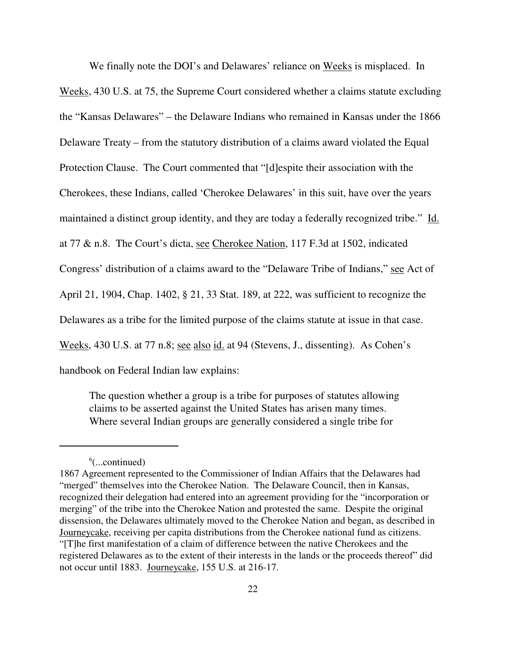We finally note the DOI's and Delawares' reliance on Weeks is misplaced. In Weeks, 430 U.S. at 75, the Supreme Court considered whether a claims statute excluding the "Kansas Delawares" – the Delaware Indians who remained in Kansas under the 1866 Delaware Treaty – from the statutory distribution of a claims award violated the Equal Protection Clause. The Court commented that "[d]espite their association with the Cherokees, these Indians, called 'Cherokee Delawares' in this suit, have over the years maintained a distinct group identity, and they are today a federally recognized tribe." Id. at 77 & n.8. The Court's dicta, see Cherokee Nation, 117 F.3d at 1502, indicated Congress' distribution of a claims award to the "Delaware Tribe of Indians," see Act of April 21, 1904, Chap. 1402, § 21, 33 Stat. 189, at 222, was sufficient to recognize the Delawares as a tribe for the limited purpose of the claims statute at issue in that case. Weeks, 430 U.S. at 77 n.8; see also id. at 94 (Stevens, J., dissenting). As Cohen's handbook on Federal Indian law explains:

The question whether a group is a tribe for purposes of statutes allowing claims to be asserted against the United States has arisen many times. Where several Indian groups are generally considered a single tribe for

 $6$ (...continued)

<sup>1867</sup> Agreement represented to the Commissioner of Indian Affairs that the Delawares had "merged" themselves into the Cherokee Nation. The Delaware Council, then in Kansas, recognized their delegation had entered into an agreement providing for the "incorporation or merging" of the tribe into the Cherokee Nation and protested the same. Despite the original dissension, the Delawares ultimately moved to the Cherokee Nation and began, as described in Journeycake, receiving per capita distributions from the Cherokee national fund as citizens. "[T]he first manifestation of a claim of difference between the native Cherokees and the registered Delawares as to the extent of their interests in the lands or the proceeds thereof" did not occur until 1883. Journeycake, 155 U.S. at 216-17.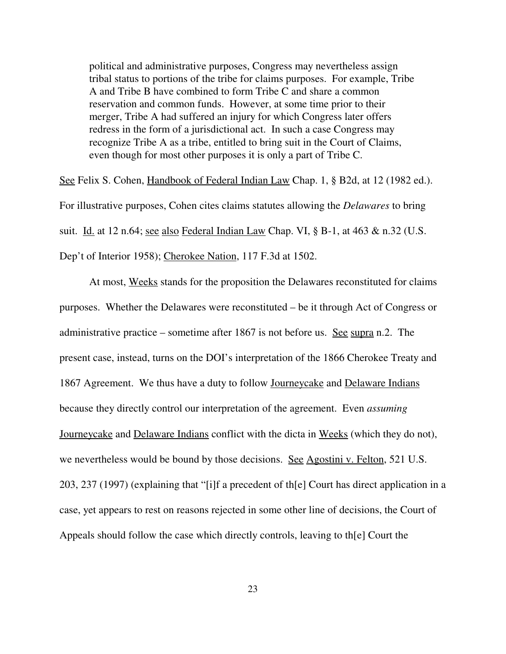political and administrative purposes, Congress may nevertheless assign tribal status to portions of the tribe for claims purposes. For example, Tribe A and Tribe B have combined to form Tribe C and share a common reservation and common funds. However, at some time prior to their merger, Tribe A had suffered an injury for which Congress later offers redress in the form of a jurisdictional act. In such a case Congress may recognize Tribe A as a tribe, entitled to bring suit in the Court of Claims, even though for most other purposes it is only a part of Tribe C.

See Felix S. Cohen, Handbook of Federal Indian Law Chap. 1, § B2d, at 12 (1982 ed.). For illustrative purposes, Cohen cites claims statutes allowing the *Delawares* to bring suit. Id. at 12 n.64; see also Federal Indian Law Chap. VI,  $\S$  B-1, at 463 & n.32 (U.S. Dep't of Interior 1958); Cherokee Nation, 117 F.3d at 1502.

At most, Weeks stands for the proposition the Delawares reconstituted for claims purposes. Whether the Delawares were reconstituted – be it through Act of Congress or administrative practice – sometime after 1867 is not before us. See supra n.2. The present case, instead, turns on the DOI's interpretation of the 1866 Cherokee Treaty and 1867 Agreement. We thus have a duty to follow Journeycake and Delaware Indians because they directly control our interpretation of the agreement. Even *assuming* Journeycake and Delaware Indians conflict with the dicta in Weeks (which they do not), we nevertheless would be bound by those decisions. See Agostini v. Felton, 521 U.S. 203, 237 (1997) (explaining that "[i]f a precedent of th[e] Court has direct application in a case, yet appears to rest on reasons rejected in some other line of decisions, the Court of Appeals should follow the case which directly controls, leaving to th[e] Court the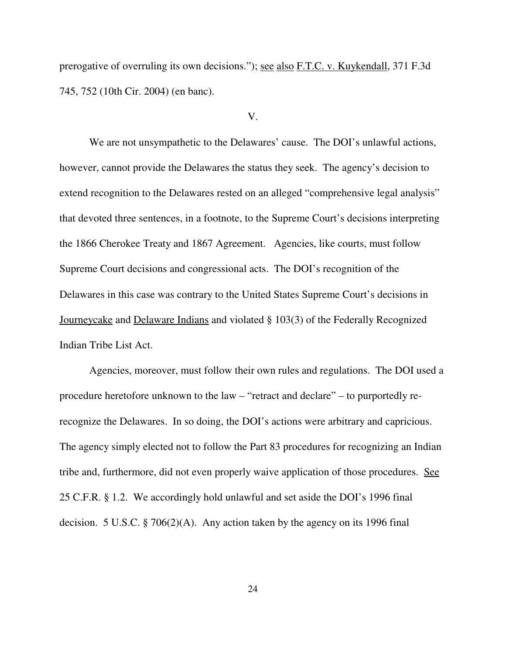prerogative of overruling its own decisions."); see also F.T.C. v. Kuykendall, 371 F.3d 745, 752 (10th Cir. 2004) (en banc).

#### V.

We are not unsympathetic to the Delawares' cause. The DOI's unlawful actions, however, cannot provide the Delawares the status they seek. The agency's decision to extend recognition to the Delawares rested on an alleged "comprehensive legal analysis" that devoted three sentences, in a footnote, to the Supreme Court's decisions interpreting the 1866 Cherokee Treaty and 1867 Agreement. Agencies, like courts, must follow Supreme Court decisions and congressional acts. The DOI's recognition of the Delawares in this case was contrary to the United States Supreme Court's decisions in Journeycake and Delaware Indians and violated § 103(3) of the Federally Recognized Indian Tribe List Act.

Agencies, moreover, must follow their own rules and regulations. The DOI used a procedure heretofore unknown to the law – "retract and declare" – to purportedly rerecognize the Delawares. In so doing, the DOI's actions were arbitrary and capricious. The agency simply elected not to follow the Part 83 procedures for recognizing an Indian tribe and, furthermore, did not even properly waive application of those procedures. See 25 C.F.R. § 1.2. We accordingly hold unlawful and set aside the DOI's 1996 final decision. 5 U.S.C. § 706(2)(A). Any action taken by the agency on its 1996 final